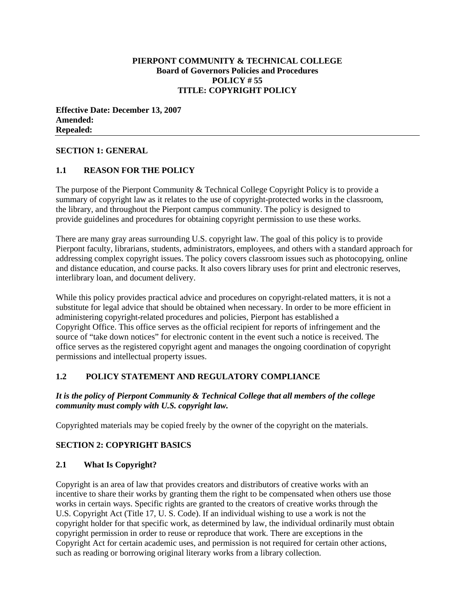#### **PIERPONT COMMUNITY & TECHNICAL COLLEGE Board of Governors Policies and Procedures POLICY # 55 TITLE: COPYRIGHT POLICY**

**Effective Date: December 13, 2007 Amended: Repealed:**

#### **SECTION 1: GENERAL**

#### **1.1 REASON FOR THE POLICY**

The purpose of the Pierpont Community & Technical College Copyright Policy is to provide a summary of copyright law as it relates to the use of copyright-protected works in the classroom, the library, and throughout the Pierpont campus community. The policy is designed to provide guidelines and procedures for obtaining copyright permission to use these works.

There are many gray areas surrounding U.S. copyright law. The goal of this policy is to provide Pierpont faculty, librarians, students, administrators, employees, and others with a standard approach for addressing complex copyright issues. The policy covers classroom issues such as photocopying, online and distance education, and course packs. It also covers library uses for print and electronic reserves, interlibrary loan, and document delivery.

While this policy provides practical advice and procedures on copyright-related matters, it is not a substitute for legal advice that should be obtained when necessary. In order to be more efficient in administering copyright-related procedures and policies, Pierpont has established a Copyright Office. This office serves as the official recipient for reports of infringement and the source of "take down notices" for electronic content in the event such a notice is received. The office serves as the registered copyright agent and manages the ongoing coordination of copyright permissions and intellectual property issues.

### **1.2 POLICY STATEMENT AND REGULATORY COMPLIANCE**

#### *It is the policy of Pierpont Community & Technical College that all members of the college community must comply with U.S. copyright law.*

Copyrighted materials may be copied freely by the owner of the copyright on the materials.

#### **SECTION 2: COPYRIGHT BASICS**

#### **2.1 What Is Copyright?**

Copyright is an area of law that provides creators and distributors of creative works with an incentive to share their works by granting them the right to be compensated when others use those works in certain ways. Specific rights are granted to the creators of creative works through the U.S. Copyright Act (Title 17, U. S. Code). If an individual wishing to use a work is not the copyright holder for that specific work, as determined by law, the individual ordinarily must obtain copyright permission in order to reuse or reproduce that work. There are exceptions in the Copyright Act for certain academic uses, and permission is not required for certain other actions, such as reading or borrowing original literary works from a library collection.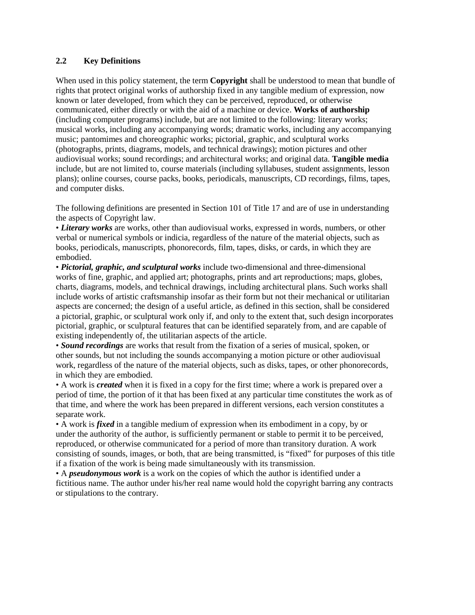### **2.2 Key Definitions**

When used in this policy statement, the term **Copyright** shall be understood to mean that bundle of rights that protect original works of authorship fixed in any tangible medium of expression, now known or later developed, from which they can be perceived, reproduced, or otherwise communicated, either directly or with the aid of a machine or device. **Works of authorship** (including computer programs) include, but are not limited to the following: literary works; musical works, including any accompanying words; dramatic works, including any accompanying music; pantomimes and choreographic works; pictorial, graphic, and sculptural works (photographs, prints, diagrams, models, and technical drawings); motion pictures and other audiovisual works; sound recordings; and architectural works; and original data. **Tangible media** include, but are not limited to, course materials (including syllabuses, student assignments, lesson plans); online courses, course packs, books, periodicals, manuscripts, CD recordings, films, tapes, and computer disks.

The following definitions are presented in Section 101 of Title 17 and are of use in understanding the aspects of Copyright law.

• *Literary works* are works, other than audiovisual works, expressed in words, numbers, or other verbal or numerical symbols or indicia, regardless of the nature of the material objects, such as books, periodicals, manuscripts, phonorecords, film, tapes, disks, or cards, in which they are embodied.

• *Pictorial, graphic, and sculptural works* include two-dimensional and three-dimensional works of fine, graphic, and applied art; photographs, prints and art reproductions; maps, globes, charts, diagrams, models, and technical drawings, including architectural plans. Such works shall include works of artistic craftsmanship insofar as their form but not their mechanical or utilitarian aspects are concerned; the design of a useful article, as defined in this section, shall be considered a pictorial, graphic, or sculptural work only if, and only to the extent that, such design incorporates pictorial, graphic, or sculptural features that can be identified separately from, and are capable of existing independently of, the utilitarian aspects of the article.

• *Sound recordings* are works that result from the fixation of a series of musical, spoken, or other sounds, but not including the sounds accompanying a motion picture or other audiovisual work, regardless of the nature of the material objects, such as disks, tapes, or other phonorecords, in which they are embodied.

• A work is *created* when it is fixed in a copy for the first time; where a work is prepared over a period of time, the portion of it that has been fixed at any particular time constitutes the work as of that time, and where the work has been prepared in different versions, each version constitutes a separate work.

• A work is *fixed* in a tangible medium of expression when its embodiment in a copy, by or under the authority of the author, is sufficiently permanent or stable to permit it to be perceived, reproduced, or otherwise communicated for a period of more than transitory duration. A work consisting of sounds, images, or both, that are being transmitted, is "fixed" for purposes of this title if a fixation of the work is being made simultaneously with its transmission.

• A *pseudonymous work* is a work on the copies of which the author is identified under a fictitious name. The author under his/her real name would hold the copyright barring any contracts or stipulations to the contrary.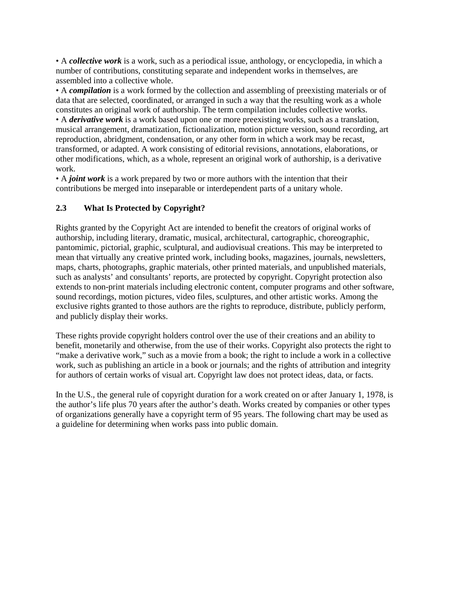• A *collective work* is a work, such as a periodical issue, anthology, or encyclopedia, in which a number of contributions, constituting separate and independent works in themselves, are assembled into a collective whole.

• A *compilation* is a work formed by the collection and assembling of preexisting materials or of data that are selected, coordinated, or arranged in such a way that the resulting work as a whole constitutes an original work of authorship. The term compilation includes collective works. • A *derivative work* is a work based upon one or more preexisting works, such as a translation, musical arrangement, dramatization, fictionalization, motion picture version, sound recording, art reproduction, abridgment, condensation, or any other form in which a work may be recast, transformed, or adapted. A work consisting of editorial revisions, annotations, elaborations, or other modifications, which, as a whole, represent an original work of authorship, is a derivative work.

• A *joint work* is a work prepared by two or more authors with the intention that their contributions be merged into inseparable or interdependent parts of a unitary whole.

## **2.3 What Is Protected by Copyright?**

Rights granted by the Copyright Act are intended to benefit the creators of original works of authorship, including literary, dramatic, musical, architectural, cartographic, choreographic, pantomimic, pictorial, graphic, sculptural, and audiovisual creations. This may be interpreted to mean that virtually any creative printed work, including books, magazines, journals, newsletters, maps, charts, photographs, graphic materials, other printed materials, and unpublished materials, such as analysts' and consultants' reports, are protected by copyright. Copyright protection also extends to non-print materials including electronic content, computer programs and other software, sound recordings, motion pictures, video files, sculptures, and other artistic works. Among the exclusive rights granted to those authors are the rights to reproduce, distribute, publicly perform, and publicly display their works.

These rights provide copyright holders control over the use of their creations and an ability to benefit, monetarily and otherwise, from the use of their works. Copyright also protects the right to "make a derivative work," such as a movie from a book; the right to include a work in a collective work, such as publishing an article in a book or journals; and the rights of attribution and integrity for authors of certain works of visual art. Copyright law does not protect ideas, data, or facts.

In the U.S., the general rule of copyright duration for a work created on or after January 1, 1978, is the author's life plus 70 years after the author's death. Works created by companies or other types of organizations generally have a copyright term of 95 years. The following chart may be used as a guideline for determining when works pass into public domain.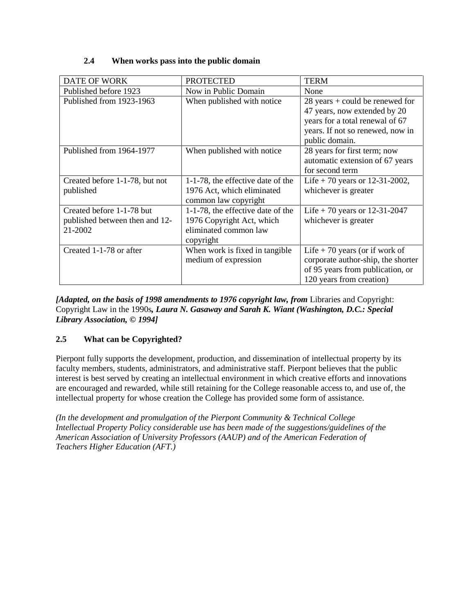### **2.4 When works pass into the public domain**

| <b>DATE OF WORK</b>            | <b>PROTECTED</b>                  | <b>TERM</b>                        |
|--------------------------------|-----------------------------------|------------------------------------|
| Published before 1923          | Now in Public Domain              | None                               |
| Published from 1923-1963       | When published with notice        | $28$ years + could be renewed for  |
|                                |                                   | 47 years, now extended by 20       |
|                                |                                   | years for a total renewal of 67    |
|                                |                                   | years. If not so renewed, now in   |
|                                |                                   | public domain.                     |
| Published from 1964-1977       | When published with notice        | 28 years for first term; now       |
|                                |                                   | automatic extension of 67 years    |
|                                |                                   | for second term                    |
| Created before 1-1-78, but not | 1-1-78, the effective date of the | Life + 70 years or 12-31-2002,     |
| published                      | 1976 Act, which eliminated        | whichever is greater               |
|                                | common law copyright              |                                    |
| Created before 1-1-78 but      | 1-1-78, the effective date of the | Life + 70 years or 12-31-2047      |
| published between then and 12- | 1976 Copyright Act, which         | whichever is greater               |
| 21-2002                        | eliminated common law             |                                    |
|                                | copyright                         |                                    |
| Created 1-1-78 or after        | When work is fixed in tangible    | Life $+70$ years (or if work of    |
|                                | medium of expression              | corporate author-ship, the shorter |
|                                |                                   | of 95 years from publication, or   |
|                                |                                   | 120 years from creation)           |

*[Adapted, on the basis of 1998 amendments to 1976 copyright law, from Libraries and Copyright:* Copyright Law in the 1990s*, Laura N. Gasaway and Sarah K. Wiant (Washington, D.C.: Special Library Association, © 1994]*

# **2.5 What can be Copyrighted?**

Pierpont fully supports the development, production, and dissemination of intellectual property by its faculty members, students, administrators, and administrative staff. Pierpont believes that the public interest is best served by creating an intellectual environment in which creative efforts and innovations are encouraged and rewarded, while still retaining for the College reasonable access to, and use of, the intellectual property for whose creation the College has provided some form of assistance.

*(In the development and promulgation of the Pierpont Community & Technical College Intellectual Property Policy considerable use has been made of the suggestions/guidelines of the American Association of University Professors (AAUP) and of the American Federation of Teachers Higher Education (AFT.)*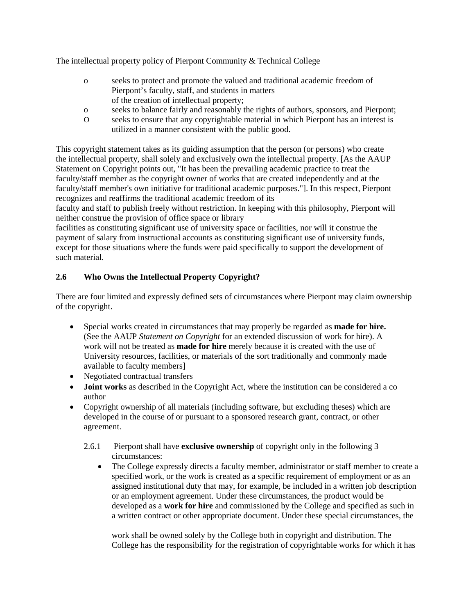The intellectual property policy of Pierpont Community & Technical College

- o seeks to protect and promote the valued and traditional academic freedom of Pierpont's faculty, staff, and students in matters of the creation of intellectual property;
- o seeks to balance fairly and reasonably the rights of authors, sponsors, and Pierpont;
- O seeks to ensure that any copyrightable material in which Pierpont has an interest is utilized in a manner consistent with the public good.

This copyright statement takes as its guiding assumption that the person (or persons) who create the intellectual property, shall solely and exclusively own the intellectual property. [As the AAUP Statement on Copyright points out, "It has been the prevailing academic practice to treat the faculty/staff member as the copyright owner of works that are created independently and at the faculty/staff member's own initiative for traditional academic purposes."]. In this respect, Pierpont recognizes and reaffirms the traditional academic freedom of its

faculty and staff to publish freely without restriction. In keeping with this philosophy, Pierpont will neither construe the provision of office space or library

facilities as constituting significant use of university space or facilities, nor will it construe the payment of salary from instructional accounts as constituting significant use of university funds, except for those situations where the funds were paid specifically to support the development of such material.

## **2.6 Who Owns the Intellectual Property Copyright?**

There are four limited and expressly defined sets of circumstances where Pierpont may claim ownership of the copyright.

- Special works created in circumstances that may properly be regarded as **made for hire.** (See the AAUP *Statement on Copyright* for an extended discussion of work for hire). A work will not be treated as **made for hire** merely because it is created with the use of University resources, facilities, or materials of the sort traditionally and commonly made available to faculty members]
- Negotiated contractual transfers
- **Joint works** as described in the Copyright Act, where the institution can be considered a co author
- Copyright ownership of all materials (including software, but excluding theses) which are developed in the course of or pursuant to a sponsored research grant, contract, or other agreement.
	- 2.6.1 Pierpont shall have **exclusive ownership** of copyright only in the following 3 circumstances:
		- The College expressly directs a faculty member, administrator or staff member to create a specified work, or the work is created as a specific requirement of employment or as an assigned institutional duty that may, for example, be included in a written job description or an employment agreement. Under these circumstances, the product would be developed as a **work for hire** and commissioned by the College and specified as such in a written contract or other appropriate document. Under these special circumstances, the

work shall be owned solely by the College both in copyright and distribution. The College has the responsibility for the registration of copyrightable works for which it has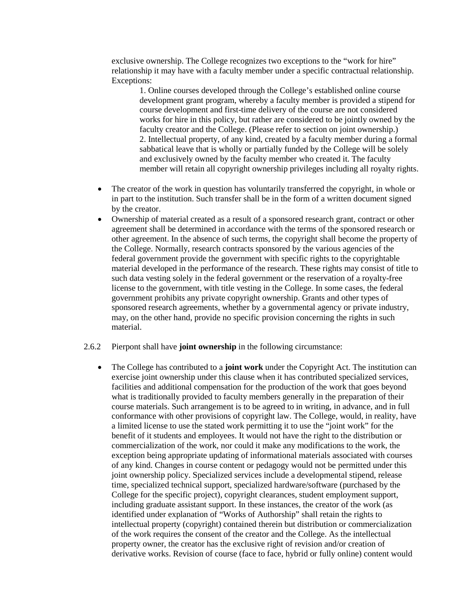exclusive ownership. The College recognizes two exceptions to the "work for hire" relationship it may have with a faculty member under a specific contractual relationship. Exceptions:

1. Online courses developed through the College's established online course development grant program, whereby a faculty member is provided a stipend for course development and first-time delivery of the course are not considered works for hire in this policy, but rather are considered to be jointly owned by the faculty creator and the College. (Please refer to section on joint ownership.) 2. Intellectual property, of any kind, created by a faculty member during a formal sabbatical leave that is wholly or partially funded by the College will be solely and exclusively owned by the faculty member who created it. The faculty member will retain all copyright ownership privileges including all royalty rights.

- The creator of the work in question has voluntarily transferred the copyright, in whole or in part to the institution. Such transfer shall be in the form of a written document signed by the creator.
- Ownership of material created as a result of a sponsored research grant, contract or other agreement shall be determined in accordance with the terms of the sponsored research or other agreement. In the absence of such terms, the copyright shall become the property of the College. Normally, research contracts sponsored by the various agencies of the federal government provide the government with specific rights to the copyrightable material developed in the performance of the research. These rights may consist of title to such data vesting solely in the federal government or the reservation of a royalty-free license to the government, with title vesting in the College. In some cases, the federal government prohibits any private copyright ownership. Grants and other types of sponsored research agreements, whether by a governmental agency or private industry, may, on the other hand, provide no specific provision concerning the rights in such material.

#### 2.6.2 Pierpont shall have **joint ownership** in the following circumstance:

• The College has contributed to a **joint work** under the Copyright Act. The institution can exercise joint ownership under this clause when it has contributed specialized services, facilities and additional compensation for the production of the work that goes beyond what is traditionally provided to faculty members generally in the preparation of their course materials. Such arrangement is to be agreed to in writing, in advance, and in full conformance with other provisions of copyright law. The College, would, in reality, have a limited license to use the stated work permitting it to use the "joint work" for the benefit of it students and employees. It would not have the right to the distribution or commercialization of the work, nor could it make any modifications to the work, the exception being appropriate updating of informational materials associated with courses of any kind. Changes in course content or pedagogy would not be permitted under this joint ownership policy. Specialized services include a developmental stipend, release time, specialized technical support, specialized hardware/software (purchased by the College for the specific project), copyright clearances, student employment support, including graduate assistant support. In these instances, the creator of the work (as identified under explanation of "Works of Authorship" shall retain the rights to intellectual property (copyright) contained therein but distribution or commercialization of the work requires the consent of the creator and the College. As the intellectual property owner, the creator has the exclusive right of revision and/or creation of derivative works. Revision of course (face to face, hybrid or fully online) content would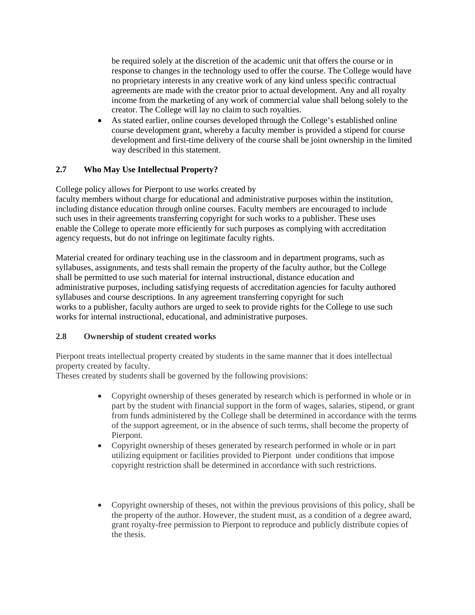be required solely at the discretion of the academic unit that offers the course or in response to changes in the technology used to offer the course. The College would have no proprietary interests in any creative work of any kind unless specific contractual agreements are made with the creator prior to actual development. Any and all royalty income from the marketing of any work of commercial value shall belong solely to the creator. The College will lay no claim to such royalties.

• As stated earlier, online courses developed through the College's established online course development grant, whereby a faculty member is provided a stipend for course development and first-time delivery of the course shall be joint ownership in the limited way described in this statement.

## **2.7 Who May Use Intellectual Property?**

College policy allows for Pierpont to use works created by

faculty members without charge for educational and administrative purposes within the institution, including distance education through online courses. Faculty members are encouraged to include such uses in their agreements transferring copyright for such works to a publisher. These uses enable the College to operate more efficiently for such purposes as complying with accreditation agency requests, but do not infringe on legitimate faculty rights.

Material created for ordinary teaching use in the classroom and in department programs, such as syllabuses, assignments, and tests shall remain the property of the faculty author, but the College shall be permitted to use such material for internal instructional, distance education and administrative purposes, including satisfying requests of accreditation agencies for faculty authored syllabuses and course descriptions. In any agreement transferring copyright for such works to a publisher, faculty authors are urged to seek to provide rights for the College to use such works for internal instructional, educational, and administrative purposes.

## **2.8 Ownership of student created works**

Pierpont treats intellectual property created by students in the same manner that it does intellectual property created by faculty.

Theses created by students shall be governed by the following provisions:

- Copyright ownership of theses generated by research which is performed in whole or in part by the student with financial support in the form of wages, salaries, stipend, or grant from funds administered by the College shall be determined in accordance with the terms of the support agreement, or in the absence of such terms, shall become the property of Pierpont.
- Copyright ownership of theses generated by research performed in whole or in part utilizing equipment or facilities provided to Pierpont under conditions that impose copyright restriction shall be determined in accordance with such restrictions.
- Copyright ownership of theses, not within the previous provisions of this policy, shall be the property of the author. However, the student must, as a condition of a degree award, grant royalty-free permission to Pierpont to reproduce and publicly distribute copies of the thesis.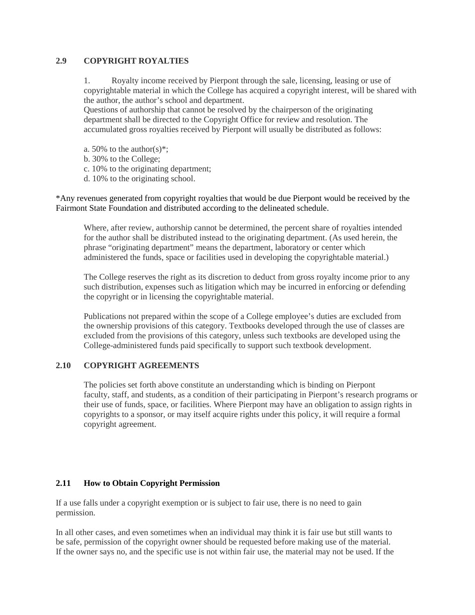### **2.9 COPYRIGHT ROYALTIES**

1. Royalty income received by Pierpont through the sale, licensing, leasing or use of copyrightable material in which the College has acquired a copyright interest, will be shared with the author, the author's school and department.

Questions of authorship that cannot be resolved by the chairperson of the originating department shall be directed to the Copyright Office for review and resolution. The accumulated gross royalties received by Pierpont will usually be distributed as follows:

- a. 50% to the author(s)\*;
- b. 30% to the College;
- c. 10% to the originating department;
- d. 10% to the originating school.

\*Any revenues generated from copyright royalties that would be due Pierpont would be received by the Fairmont State Foundation and distributed according to the delineated schedule.

Where, after review, authorship cannot be determined, the percent share of royalties intended for the author shall be distributed instead to the originating department. (As used herein, the phrase "originating department" means the department, laboratory or center which administered the funds, space or facilities used in developing the copyrightable material.)

The College reserves the right as its discretion to deduct from gross royalty income prior to any such distribution, expenses such as litigation which may be incurred in enforcing or defending the copyright or in licensing the copyrightable material.

Publications not prepared within the scope of a College employee's duties are excluded from the ownership provisions of this category. Textbooks developed through the use of classes are excluded from the provisions of this category, unless such textbooks are developed using the College-administered funds paid specifically to support such textbook development.

#### **2.10 COPYRIGHT AGREEMENTS**

The policies set forth above constitute an understanding which is binding on Pierpont faculty, staff, and students, as a condition of their participating in Pierpont's research programs or their use of funds, space, or facilities. Where Pierpont may have an obligation to assign rights in copyrights to a sponsor, or may itself acquire rights under this policy, it will require a formal copyright agreement.

#### **2.11 How to Obtain Copyright Permission**

If a use falls under a copyright exemption or is subject to fair use, there is no need to gain permission.

In all other cases, and even sometimes when an individual may think it is fair use but still wants to be safe, permission of the copyright owner should be requested before making use of the material. If the owner says no, and the specific use is not within fair use, the material may not be used. If the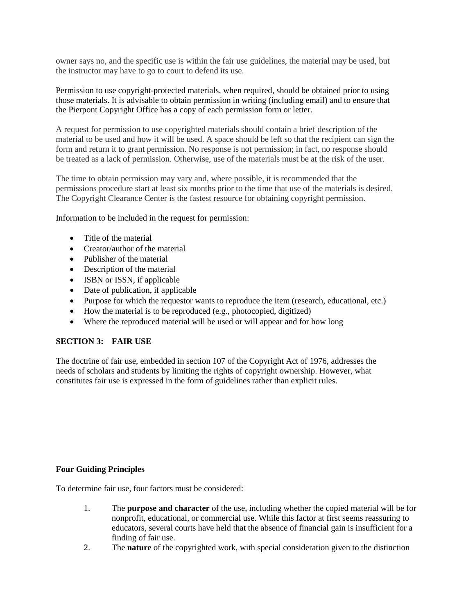owner says no, and the specific use is within the fair use guidelines, the material may be used, but the instructor may have to go to court to defend its use.

Permission to use copyright-protected materials, when required, should be obtained prior to using those materials. It is advisable to obtain permission in writing (including email) and to ensure that the Pierpont Copyright Office has a copy of each permission form or letter.

A request for permission to use copyrighted materials should contain a brief description of the material to be used and how it will be used. A space should be left so that the recipient can sign the form and return it to grant permission. No response is not permission; in fact, no response should be treated as a lack of permission. Otherwise, use of the materials must be at the risk of the user.

The time to obtain permission may vary and, where possible, it is recommended that the permissions procedure start at least six months prior to the time that use of the materials is desired. The Copyright Clearance Center is the fastest resource for obtaining copyright permission.

Information to be included in the request for permission:

- Title of the material
- Creator/author of the material
- Publisher of the material
- Description of the material
- ISBN or ISSN, if applicable
- Date of publication, if applicable
- Purpose for which the requestor wants to reproduce the item (research, educational, etc.)
- How the material is to be reproduced (e.g., photocopied, digitized)
- Where the reproduced material will be used or will appear and for how long

#### **SECTION 3: FAIR USE**

The doctrine of fair use, embedded in section 107 of the Copyright Act of 1976, addresses the needs of scholars and students by limiting the rights of copyright ownership. However, what constitutes fair use is expressed in the form of guidelines rather than explicit rules.

#### **Four Guiding Principles**

To determine fair use, four factors must be considered:

- 1. The **purpose and character** of the use, including whether the copied material will be for nonprofit, educational, or commercial use. While this factor at first seems reassuring to educators, several courts have held that the absence of financial gain is insufficient for a finding of fair use.
- 2. The **nature** of the copyrighted work, with special consideration given to the distinction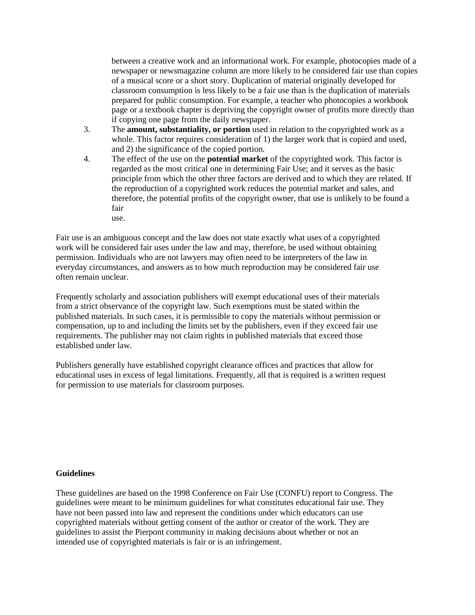between a creative work and an informational work. For example, photocopies made of a newspaper or newsmagazine column are more likely to be considered fair use than copies of a musical score or a short story. Duplication of material originally developed for classroom consumption is less likely to be a fair use than is the duplication of materials prepared for public consumption. For example, a teacher who photocopies a workbook page or a textbook chapter is depriving the copyright owner of profits more directly than if copying one page from the daily newspaper.

- 3. The **amount, substantiality, or portion** used in relation to the copyrighted work as a whole. This factor requires consideration of 1) the larger work that is copied and used, and 2) the significance of the copied portion.
- 4. The effect of the use on the **potential market** of the copyrighted work. This factor is regarded as the most critical one in determining Fair Use; and it serves as the basic principle from which the other three factors are derived and to which they are related. If the reproduction of a copyrighted work reduces the potential market and sales, and therefore, the potential profits of the copyright owner, that use is unlikely to be found a fair use.

Fair use is an ambiguous concept and the law does not state exactly what uses of a copyrighted work will be considered fair uses under the law and may, therefore, be used without obtaining permission. Individuals who are not lawyers may often need to be interpreters of the law in everyday circumstances, and answers as to how much reproduction may be considered fair use often remain unclear.

Frequently scholarly and association publishers will exempt educational uses of their materials from a strict observance of the copyright law. Such exemptions must be stated within the published materials. In such cases, it is permissible to copy the materials without permission or compensation, up to and including the limits set by the publishers, even if they exceed fair use requirements. The publisher may not claim rights in published materials that exceed those established under law.

Publishers generally have established copyright clearance offices and practices that allow for educational uses in excess of legal limitations. Frequently, all that is required is a written request for permission to use materials for classroom purposes.

#### **Guidelines**

These guidelines are based on the 1998 Conference on Fair Use (CONFU) report to Congress. The guidelines were meant to be minimum guidelines for what constitutes educational fair use. They have not been passed into law and represent the conditions under which educators can use copyrighted materials without getting consent of the author or creator of the work. They are guidelines to assist the Pierpont community in making decisions about whether or not an intended use of copyrighted materials is fair or is an infringement.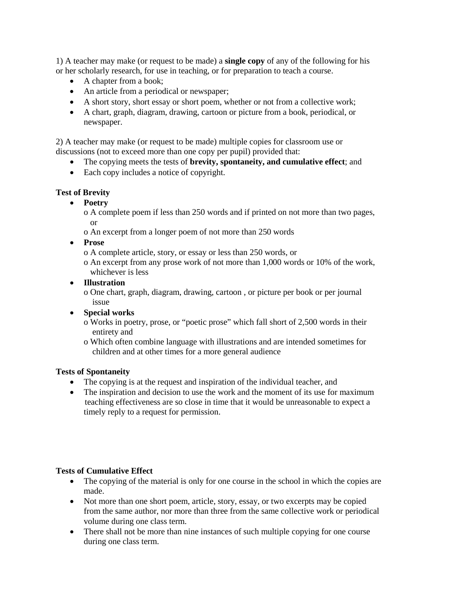1) A teacher may make (or request to be made) a **single copy** of any of the following for his or her scholarly research, for use in teaching, or for preparation to teach a course.

- A chapter from a book;
- An article from a periodical or newspaper;
- A short story, short essay or short poem, whether or not from a collective work;
- A chart, graph, diagram, drawing, cartoon or picture from a book, periodical, or newspaper.

2) A teacher may make (or request to be made) multiple copies for classroom use or discussions (not to exceed more than one copy per pupil) provided that:

- The copying meets the tests of **brevity, spontaneity, and cumulative effect**; and
- Each copy includes a notice of copyright.

### **Test of Brevity**

• **Poetry**

o A complete poem if less than 250 words and if printed on not more than two pages, or

o An excerpt from a longer poem of not more than 250 words

• **Prose**

o A complete article, story, or essay or less than 250 words, or

o An excerpt from any prose work of not more than 1,000 words or 10% of the work, whichever is less

• **Illustration**

o One chart, graph, diagram, drawing, cartoon , or picture per book or per journal issue

- **Special works**
	- o Works in poetry, prose, or "poetic prose" which fall short of 2,500 words in their entirety and
	- o Which often combine language with illustrations and are intended sometimes for children and at other times for a more general audience

#### **Tests of Spontaneity**

- The copying is at the request and inspiration of the individual teacher, and
- The inspiration and decision to use the work and the moment of its use for maximum teaching effectiveness are so close in time that it would be unreasonable to expect a timely reply to a request for permission.

#### **Tests of Cumulative Effect**

- The copying of the material is only for one course in the school in which the copies are made.
- Not more than one short poem, article, story, essay, or two excerpts may be copied from the same author, nor more than three from the same collective work or periodical volume during one class term.
- There shall not be more than nine instances of such multiple copying for one course during one class term.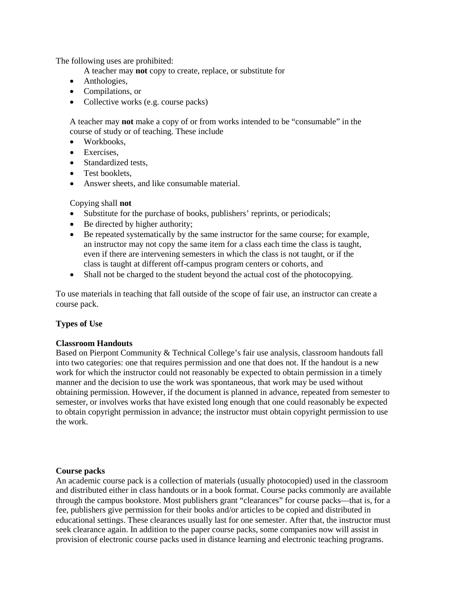The following uses are prohibited:

A teacher may **not** copy to create, replace, or substitute for

- Anthologies,
- Compilations, or
- Collective works (e.g. course packs)

A teacher may **not** make a copy of or from works intended to be "consumable" in the course of study or of teaching. These include

- Workbooks,
- Exercises,
- Standardized tests.
- Test booklets.
- Answer sheets, and like consumable material.

#### Copying shall **not**

- Substitute for the purchase of books, publishers' reprints, or periodicals;
- Be directed by higher authority;
- Be repeated systematically by the same instructor for the same course; for example, an instructor may not copy the same item for a class each time the class is taught, even if there are intervening semesters in which the class is not taught, or if the class is taught at different off-campus program centers or cohorts, and
- Shall not be charged to the student beyond the actual cost of the photocopying.

To use materials in teaching that fall outside of the scope of fair use, an instructor can create a course pack.

#### **Types of Use**

#### **Classroom Handouts**

Based on Pierpont Community & Technical College's fair use analysis, classroom handouts fall into two categories: one that requires permission and one that does not. If the handout is a new work for which the instructor could not reasonably be expected to obtain permission in a timely manner and the decision to use the work was spontaneous, that work may be used without obtaining permission. However, if the document is planned in advance, repeated from semester to semester, or involves works that have existed long enough that one could reasonably be expected to obtain copyright permission in advance; the instructor must obtain copyright permission to use the work.

#### **Course packs**

An academic course pack is a collection of materials (usually photocopied) used in the classroom and distributed either in class handouts or in a book format. Course packs commonly are available through the campus bookstore. Most publishers grant "clearances" for course packs—that is, for a fee, publishers give permission for their books and/or articles to be copied and distributed in educational settings. These clearances usually last for one semester. After that, the instructor must seek clearance again. In addition to the paper course packs, some companies now will assist in provision of electronic course packs used in distance learning and electronic teaching programs.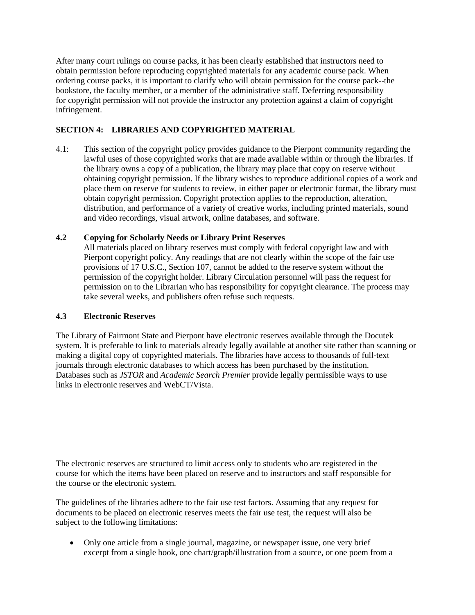After many court rulings on course packs, it has been clearly established that instructors need to obtain permission before reproducing copyrighted materials for any academic course pack. When ordering course packs, it is important to clarify who will obtain permission for the course pack--the bookstore, the faculty member, or a member of the administrative staff. Deferring responsibility for copyright permission will not provide the instructor any protection against a claim of copyright infringement.

# **SECTION 4: LIBRARIES AND COPYRIGHTED MATERIAL**

4.1: This section of the copyright policy provides guidance to the Pierpont community regarding the lawful uses of those copyrighted works that are made available within or through the libraries. If the library owns a copy of a publication, the library may place that copy on reserve without obtaining copyright permission. If the library wishes to reproduce additional copies of a work and place them on reserve for students to review, in either paper or electronic format, the library must obtain copyright permission. Copyright protection applies to the reproduction, alteration, distribution, and performance of a variety of creative works, including printed materials, sound and video recordings, visual artwork, online databases, and software.

## **4.2 Copying for Scholarly Needs or Library Print Reserves**

All materials placed on library reserves must comply with federal copyright law and with Pierpont copyright policy. Any readings that are not clearly within the scope of the fair use provisions of 17 U.S.C., Section 107, cannot be added to the reserve system without the permission of the copyright holder. Library Circulation personnel will pass the request for permission on to the Librarian who has responsibility for copyright clearance. The process may take several weeks, and publishers often refuse such requests.

## **4.3 Electronic Reserves**

The Library of Fairmont State and Pierpont have electronic reserves available through the Docutek system. It is preferable to link to materials already legally available at another site rather than scanning or making a digital copy of copyrighted materials. The libraries have access to thousands of full-text journals through electronic databases to which access has been purchased by the institution. Databases such as *JSTOR* and *Academic Search Premier* provide legally permissible ways to use links in electronic reserves and WebCT/Vista.

The electronic reserves are structured to limit access only to students who are registered in the course for which the items have been placed on reserve and to instructors and staff responsible for the course or the electronic system.

The guidelines of the libraries adhere to the fair use test factors. Assuming that any request for documents to be placed on electronic reserves meets the fair use test, the request will also be subject to the following limitations:

• Only one article from a single journal, magazine, or newspaper issue, one very brief excerpt from a single book, one chart/graph/illustration from a source, or one poem from a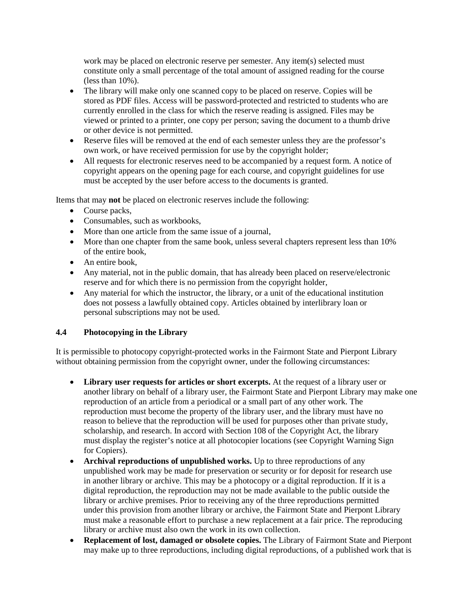work may be placed on electronic reserve per semester. Any item(s) selected must constitute only a small percentage of the total amount of assigned reading for the course (less than 10%).

- The library will make only one scanned copy to be placed on reserve. Copies will be stored as PDF files. Access will be password-protected and restricted to students who are currently enrolled in the class for which the reserve reading is assigned. Files may be viewed or printed to a printer, one copy per person; saving the document to a thumb drive or other device is not permitted.
- Reserve files will be removed at the end of each semester unless they are the professor's own work, or have received permission for use by the copyright holder;
- All requests for electronic reserves need to be accompanied by a request form. A notice of copyright appears on the opening page for each course, and copyright guidelines for use must be accepted by the user before access to the documents is granted.

Items that may **not** be placed on electronic reserves include the following:

- Course packs,
- Consumables, such as workbooks,
- More than one article from the same issue of a journal,
- More than one chapter from the same book, unless several chapters represent less than 10% of the entire book,
- An entire book.
- Any material, not in the public domain, that has already been placed on reserve/electronic reserve and for which there is no permission from the copyright holder,
- Any material for which the instructor, the library, or a unit of the educational institution does not possess a lawfully obtained copy. Articles obtained by interlibrary loan or personal subscriptions may not be used.

## **4.4 Photocopying in the Library**

It is permissible to photocopy copyright-protected works in the Fairmont State and Pierpont Library without obtaining permission from the copyright owner, under the following circumstances:

- **Library user requests for articles or short excerpts.** At the request of a library user or another library on behalf of a library user, the Fairmont State and Pierpont Library may make one reproduction of an article from a periodical or a small part of any other work. The reproduction must become the property of the library user, and the library must have no reason to believe that the reproduction will be used for purposes other than private study, scholarship, and research. In accord with Section 108 of the Copyright Act, the library must display the register's notice at all photocopier locations (see Copyright Warning Sign for Copiers).
- Archival reproductions of unpublished works. Up to three reproductions of any unpublished work may be made for preservation or security or for deposit for research use in another library or archive. This may be a photocopy or a digital reproduction. If it is a digital reproduction, the reproduction may not be made available to the public outside the library or archive premises. Prior to receiving any of the three reproductions permitted under this provision from another library or archive, the Fairmont State and Pierpont Library must make a reasonable effort to purchase a new replacement at a fair price. The reproducing library or archive must also own the work in its own collection.
- **Replacement of lost, damaged or obsolete copies.** The Library of Fairmont State and Pierpont may make up to three reproductions, including digital reproductions, of a published work that is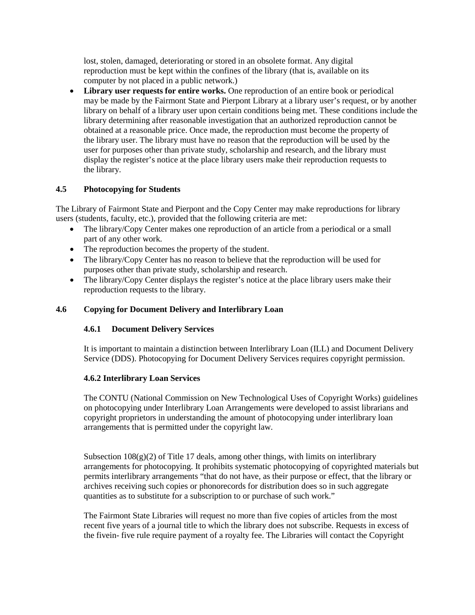lost, stolen, damaged, deteriorating or stored in an obsolete format. Any digital reproduction must be kept within the confines of the library (that is, available on its computer by not placed in a public network.)

**Library user requests for entire works.** One reproduction of an entire book or periodical may be made by the Fairmont State and Pierpont Library at a library user's request, or by another library on behalf of a library user upon certain conditions being met. These conditions include the library determining after reasonable investigation that an authorized reproduction cannot be obtained at a reasonable price. Once made, the reproduction must become the property of the library user. The library must have no reason that the reproduction will be used by the user for purposes other than private study, scholarship and research, and the library must display the register's notice at the place library users make their reproduction requests to the library.

### **4.5 Photocopying for Students**

The Library of Fairmont State and Pierpont and the Copy Center may make reproductions for library users (students, faculty, etc.), provided that the following criteria are met:

- The library/Copy Center makes one reproduction of an article from a periodical or a small part of any other work.
- The reproduction becomes the property of the student.
- The library/Copy Center has no reason to believe that the reproduction will be used for purposes other than private study, scholarship and research.
- The library/Copy Center displays the register's notice at the place library users make their reproduction requests to the library.

### **4.6 Copying for Document Delivery and Interlibrary Loan**

#### **4.6.1 Document Delivery Services**

It is important to maintain a distinction between Interlibrary Loan (ILL) and Document Delivery Service (DDS). Photocopying for Document Delivery Services requires copyright permission.

#### **4.6.2 Interlibrary Loan Services**

The CONTU (National Commission on New Technological Uses of Copyright Works) guidelines on photocopying under Interlibrary Loan Arrangements were developed to assist librarians and copyright proprietors in understanding the amount of photocopying under interlibrary loan arrangements that is permitted under the copyright law.

Subsection  $108(g)(2)$  of Title 17 deals, among other things, with limits on interlibrary arrangements for photocopying. It prohibits systematic photocopying of copyrighted materials but permits interlibrary arrangements "that do not have, as their purpose or effect, that the library or archives receiving such copies or phonorecords for distribution does so in such aggregate quantities as to substitute for a subscription to or purchase of such work."

The Fairmont State Libraries will request no more than five copies of articles from the most recent five years of a journal title to which the library does not subscribe. Requests in excess of the fivein- five rule require payment of a royalty fee. The Libraries will contact the Copyright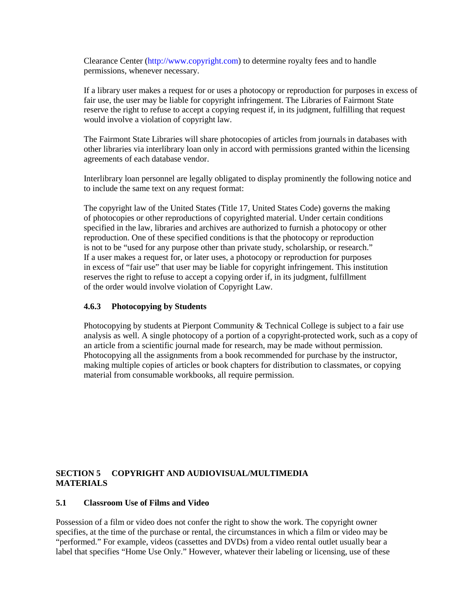Clearance Center (http://www.copyright.com) to determine royalty fees and to handle permissions, whenever necessary.

If a library user makes a request for or uses a photocopy or reproduction for purposes in excess of fair use, the user may be liable for copyright infringement. The Libraries of Fairmont State reserve the right to refuse to accept a copying request if, in its judgment, fulfilling that request would involve a violation of copyright law.

The Fairmont State Libraries will share photocopies of articles from journals in databases with other libraries via interlibrary loan only in accord with permissions granted within the licensing agreements of each database vendor.

Interlibrary loan personnel are legally obligated to display prominently the following notice and to include the same text on any request format:

The copyright law of the United States (Title 17, United States Code) governs the making of photocopies or other reproductions of copyrighted material. Under certain conditions specified in the law, libraries and archives are authorized to furnish a photocopy or other reproduction. One of these specified conditions is that the photocopy or reproduction is not to be "used for any purpose other than private study, scholarship, or research." If a user makes a request for, or later uses, a photocopy or reproduction for purposes in excess of "fair use" that user may be liable for copyright infringement. This institution reserves the right to refuse to accept a copying order if, in its judgment, fulfillment of the order would involve violation of Copyright Law.

#### **4.6.3 Photocopying by Students**

Photocopying by students at Pierpont Community & Technical College is subject to a fair use analysis as well. A single photocopy of a portion of a copyright-protected work, such as a copy of an article from a scientific journal made for research, may be made without permission. Photocopying all the assignments from a book recommended for purchase by the instructor, making multiple copies of articles or book chapters for distribution to classmates, or copying material from consumable workbooks, all require permission.

#### **SECTION 5 COPYRIGHT AND AUDIOVISUAL/MULTIMEDIA MATERIALS**

#### **5.1 Classroom Use of Films and Video**

Possession of a film or video does not confer the right to show the work. The copyright owner specifies, at the time of the purchase or rental, the circumstances in which a film or video may be "performed." For example, videos (cassettes and DVDs) from a video rental outlet usually bear a label that specifies "Home Use Only." However, whatever their labeling or licensing, use of these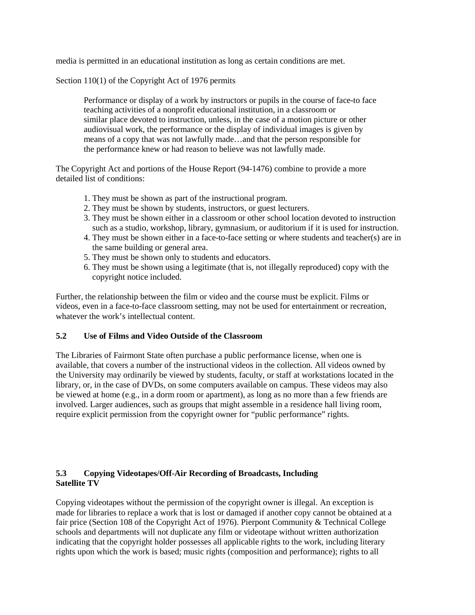media is permitted in an educational institution as long as certain conditions are met.

Section 110(1) of the Copyright Act of 1976 permits

Performance or display of a work by instructors or pupils in the course of face-to face teaching activities of a nonprofit educational institution, in a classroom or similar place devoted to instruction, unless, in the case of a motion picture or other audiovisual work, the performance or the display of individual images is given by means of a copy that was not lawfully made…and that the person responsible for the performance knew or had reason to believe was not lawfully made.

The Copyright Act and portions of the House Report (94-1476) combine to provide a more detailed list of conditions:

- 1. They must be shown as part of the instructional program.
- 2. They must be shown by students, instructors, or guest lecturers.
- 3. They must be shown either in a classroom or other school location devoted to instruction such as a studio, workshop, library, gymnasium, or auditorium if it is used for instruction.
- 4. They must be shown either in a face-to-face setting or where students and teacher(s) are in the same building or general area.
- 5. They must be shown only to students and educators.
- 6. They must be shown using a legitimate (that is, not illegally reproduced) copy with the copyright notice included.

Further, the relationship between the film or video and the course must be explicit. Films or videos, even in a face-to-face classroom setting, may not be used for entertainment or recreation, whatever the work's intellectual content.

#### **5.2 Use of Films and Video Outside of the Classroom**

The Libraries of Fairmont State often purchase a public performance license, when one is available, that covers a number of the instructional videos in the collection. All videos owned by the University may ordinarily be viewed by students, faculty, or staff at workstations located in the library, or, in the case of DVDs, on some computers available on campus. These videos may also be viewed at home (e.g., in a dorm room or apartment), as long as no more than a few friends are involved. Larger audiences, such as groups that might assemble in a residence hall living room, require explicit permission from the copyright owner for "public performance" rights.

#### **5.3 Copying Videotapes/Off-Air Recording of Broadcasts, Including Satellite TV**

Copying videotapes without the permission of the copyright owner is illegal. An exception is made for libraries to replace a work that is lost or damaged if another copy cannot be obtained at a fair price (Section 108 of the Copyright Act of 1976). Pierpont Community & Technical College schools and departments will not duplicate any film or videotape without written authorization indicating that the copyright holder possesses all applicable rights to the work, including literary rights upon which the work is based; music rights (composition and performance); rights to all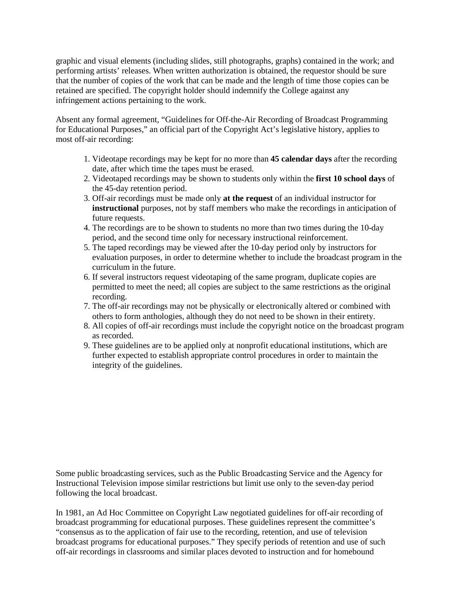graphic and visual elements (including slides, still photographs, graphs) contained in the work; and performing artists' releases. When written authorization is obtained, the requestor should be sure that the number of copies of the work that can be made and the length of time those copies can be retained are specified. The copyright holder should indemnify the College against any infringement actions pertaining to the work.

Absent any formal agreement, "Guidelines for Off-the-Air Recording of Broadcast Programming for Educational Purposes," an official part of the Copyright Act's legislative history, applies to most off-air recording:

- 1. Videotape recordings may be kept for no more than **45 calendar days** after the recording date, after which time the tapes must be erased.
- 2. Videotaped recordings may be shown to students only within the **first 10 school days** of the 45-day retention period.
- 3. Off-air recordings must be made only **at the request** of an individual instructor for  **instructional** purposes, not by staff members who make the recordings in anticipation of future requests.
- 4. The recordings are to be shown to students no more than two times during the 10-day period, and the second time only for necessary instructional reinforcement.
- 5. The taped recordings may be viewed after the 10-day period only by instructors for evaluation purposes, in order to determine whether to include the broadcast program in the curriculum in the future.
- 6. If several instructors request videotaping of the same program, duplicate copies are permitted to meet the need; all copies are subject to the same restrictions as the original recording.
- 7. The off-air recordings may not be physically or electronically altered or combined with others to form anthologies, although they do not need to be shown in their entirety.
- 8. All copies of off-air recordings must include the copyright notice on the broadcast program as recorded.
- 9. These guidelines are to be applied only at nonprofit educational institutions, which are further expected to establish appropriate control procedures in order to maintain the integrity of the guidelines.

Some public broadcasting services, such as the Public Broadcasting Service and the Agency for Instructional Television impose similar restrictions but limit use only to the seven-day period following the local broadcast.

In 1981, an Ad Hoc Committee on Copyright Law negotiated guidelines for off-air recording of broadcast programming for educational purposes. These guidelines represent the committee's "consensus as to the application of fair use to the recording, retention, and use of television broadcast programs for educational purposes." They specify periods of retention and use of such off-air recordings in classrooms and similar places devoted to instruction and for homebound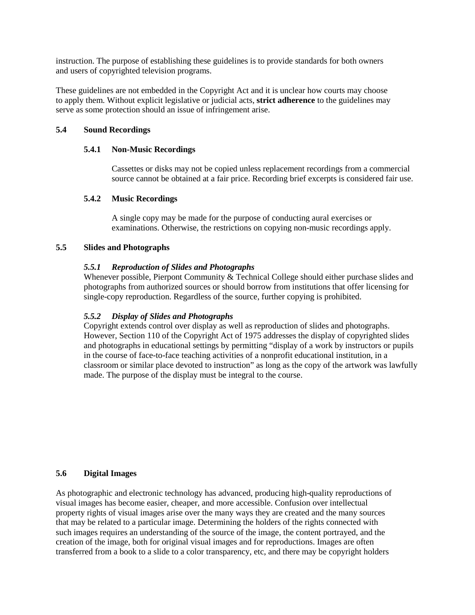instruction. The purpose of establishing these guidelines is to provide standards for both owners and users of copyrighted television programs.

These guidelines are not embedded in the Copyright Act and it is unclear how courts may choose to apply them. Without explicit legislative or judicial acts, **strict adherence** to the guidelines may serve as some protection should an issue of infringement arise.

#### **5.4 Sound Recordings**

### **5.4.1 Non-Music Recordings**

Cassettes or disks may not be copied unless replacement recordings from a commercial source cannot be obtained at a fair price. Recording brief excerpts is considered fair use.

### **5.4.2 Music Recordings**

A single copy may be made for the purpose of conducting aural exercises or examinations. Otherwise, the restrictions on copying non-music recordings apply.

### **5.5 Slides and Photographs**

### *5.5.1 Reproduction of Slides and Photographs*

Whenever possible, Pierpont Community & Technical College should either purchase slides and photographs from authorized sources or should borrow from institutions that offer licensing for single-copy reproduction. Regardless of the source, further copying is prohibited.

## *5.5.2 Display of Slides and Photographs*

Copyright extends control over display as well as reproduction of slides and photographs. However, Section 110 of the Copyright Act of 1975 addresses the display of copyrighted slides and photographs in educational settings by permitting "display of a work by instructors or pupils in the course of face-to-face teaching activities of a nonprofit educational institution, in a classroom or similar place devoted to instruction" as long as the copy of the artwork was lawfully made. The purpose of the display must be integral to the course.

### **5.6 Digital Images**

As photographic and electronic technology has advanced, producing high-quality reproductions of visual images has become easier, cheaper, and more accessible. Confusion over intellectual property rights of visual images arise over the many ways they are created and the many sources that may be related to a particular image. Determining the holders of the rights connected with such images requires an understanding of the source of the image, the content portrayed, and the creation of the image, both for original visual images and for reproductions. Images are often transferred from a book to a slide to a color transparency, etc, and there may be copyright holders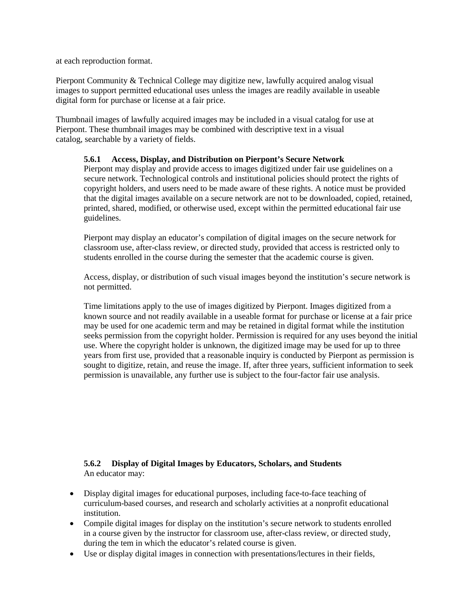at each reproduction format.

Pierpont Community & Technical College may digitize new, lawfully acquired analog visual images to support permitted educational uses unless the images are readily available in useable digital form for purchase or license at a fair price.

Thumbnail images of lawfully acquired images may be included in a visual catalog for use at Pierpont. These thumbnail images may be combined with descriptive text in a visual catalog, searchable by a variety of fields.

## **5.6.1 Access, Display, and Distribution on Pierpont's Secure Network**

Pierpont may display and provide access to images digitized under fair use guidelines on a secure network. Technological controls and institutional policies should protect the rights of copyright holders, and users need to be made aware of these rights. A notice must be provided that the digital images available on a secure network are not to be downloaded, copied, retained, printed, shared, modified, or otherwise used, except within the permitted educational fair use guidelines.

Pierpont may display an educator's compilation of digital images on the secure network for classroom use, after-class review, or directed study, provided that access is restricted only to students enrolled in the course during the semester that the academic course is given.

Access, display, or distribution of such visual images beyond the institution's secure network is not permitted.

Time limitations apply to the use of images digitized by Pierpont. Images digitized from a known source and not readily available in a useable format for purchase or license at a fair price may be used for one academic term and may be retained in digital format while the institution seeks permission from the copyright holder. Permission is required for any uses beyond the initial use. Where the copyright holder is unknown, the digitized image may be used for up to three years from first use, provided that a reasonable inquiry is conducted by Pierpont as permission is sought to digitize, retain, and reuse the image. If, after three years, sufficient information to seek permission is unavailable, any further use is subject to the four-factor fair use analysis.

### **5.6.2 Display of Digital Images by Educators, Scholars, and Students** An educator may:

- Display digital images for educational purposes, including face-to-face teaching of curriculum-based courses, and research and scholarly activities at a nonprofit educational institution.
- Compile digital images for display on the institution's secure network to students enrolled in a course given by the instructor for classroom use, after-class review, or directed study, during the tem in which the educator's related course is given.
- Use or display digital images in connection with presentations/lectures in their fields,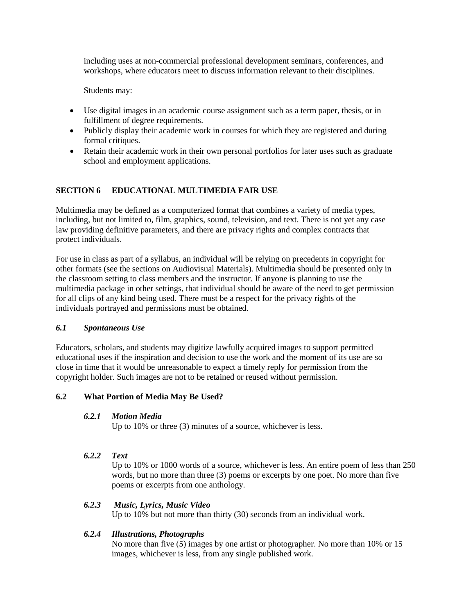including uses at non-commercial professional development seminars, conferences, and workshops, where educators meet to discuss information relevant to their disciplines.

Students may:

- Use digital images in an academic course assignment such as a term paper, thesis, or in fulfillment of degree requirements.
- Publicly display their academic work in courses for which they are registered and during formal critiques.
- Retain their academic work in their own personal portfolios for later uses such as graduate school and employment applications.

# **SECTION 6 EDUCATIONAL MULTIMEDIA FAIR USE**

Multimedia may be defined as a computerized format that combines a variety of media types, including, but not limited to, film, graphics, sound, television, and text. There is not yet any case law providing definitive parameters, and there are privacy rights and complex contracts that protect individuals.

For use in class as part of a syllabus, an individual will be relying on precedents in copyright for other formats (see the sections on Audiovisual Materials). Multimedia should be presented only in the classroom setting to class members and the instructor. If anyone is planning to use the multimedia package in other settings, that individual should be aware of the need to get permission for all clips of any kind being used. There must be a respect for the privacy rights of the individuals portrayed and permissions must be obtained.

#### *6.1 Spontaneous Use*

Educators, scholars, and students may digitize lawfully acquired images to support permitted educational uses if the inspiration and decision to use the work and the moment of its use are so close in time that it would be unreasonable to expect a timely reply for permission from the copyright holder. Such images are not to be retained or reused without permission.

#### **6.2 What Portion of Media May Be Used?**

#### *6.2.1 Motion Media*

Up to 10% or three (3) minutes of a source, whichever is less.

#### *6.2.2 Text*

Up to 10% or 1000 words of a source, whichever is less. An entire poem of less than 250 words, but no more than three (3) poems or excerpts by one poet. No more than five poems or excerpts from one anthology.

#### *6.2.3 Music, Lyrics, Music Video*

Up to 10% but not more than thirty (30) seconds from an individual work.

## *6.2.4 Illustrations, Photographs*

No more than five (5) images by one artist or photographer. No more than 10% or 15 images, whichever is less, from any single published work.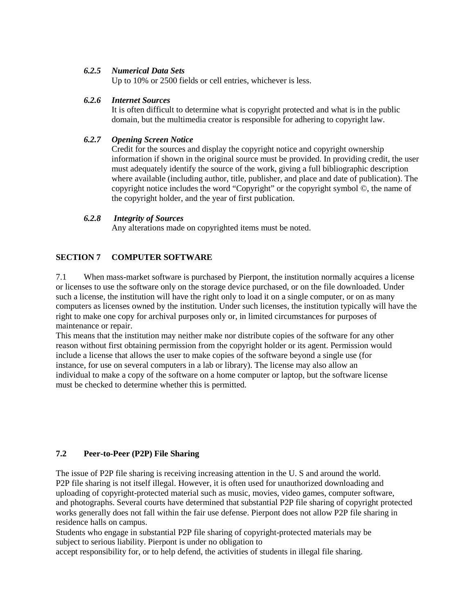#### *6.2.5 Numerical Data Sets*

Up to 10% or 2500 fields or cell entries, whichever is less.

### *6.2.6 Internet Sources*

It is often difficult to determine what is copyright protected and what is in the public domain, but the multimedia creator is responsible for adhering to copyright law.

## *6.2.7 Opening Screen Notice*

Credit for the sources and display the copyright notice and copyright ownership information if shown in the original source must be provided. In providing credit, the user must adequately identify the source of the work, giving a full bibliographic description where available (including author, title, publisher, and place and date of publication). The copyright notice includes the word "Copyright" or the copyright symbol  $\odot$ , the name of the copyright holder, and the year of first publication.

### *6.2.8 Integrity of Sources*

Any alterations made on copyrighted items must be noted.

## **SECTION 7 COMPUTER SOFTWARE**

7.1 When mass-market software is purchased by Pierpont, the institution normally acquires a license or licenses to use the software only on the storage device purchased, or on the file downloaded. Under such a license, the institution will have the right only to load it on a single computer, or on as many computers as licenses owned by the institution. Under such licenses, the institution typically will have the right to make one copy for archival purposes only or, in limited circumstances for purposes of maintenance or repair.

This means that the institution may neither make nor distribute copies of the software for any other reason without first obtaining permission from the copyright holder or its agent. Permission would include a license that allows the user to make copies of the software beyond a single use (for instance, for use on several computers in a lab or library). The license may also allow an individual to make a copy of the software on a home computer or laptop, but the software license must be checked to determine whether this is permitted.

## **7.2 Peer-to-Peer (P2P) File Sharing**

The issue of P2P file sharing is receiving increasing attention in the U. S and around the world. P2P file sharing is not itself illegal. However, it is often used for unauthorized downloading and uploading of copyright-protected material such as music, movies, video games, computer software, and photographs. Several courts have determined that substantial P2P file sharing of copyright protected works generally does not fall within the fair use defense. Pierpont does not allow P2P file sharing in residence halls on campus.

Students who engage in substantial P2P file sharing of copyright-protected materials may be subject to serious liability. Pierpont is under no obligation to

accept responsibility for, or to help defend, the activities of students in illegal file sharing.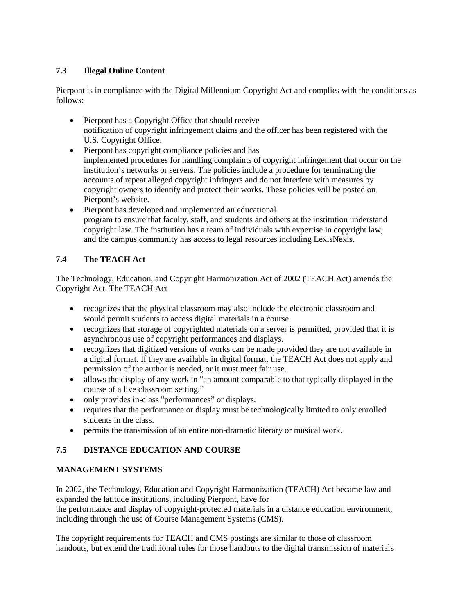# **7.3 Illegal Online Content**

Pierpont is in compliance with the Digital Millennium Copyright Act and complies with the conditions as follows:

- Pierpont has a Copyright Office that should receive notification of copyright infringement claims and the officer has been registered with the U.S. Copyright Office.
- Pierpont has copyright compliance policies and has implemented procedures for handling complaints of copyright infringement that occur on the institution's networks or servers. The policies include a procedure for terminating the accounts of repeat alleged copyright infringers and do not interfere with measures by copyright owners to identify and protect their works. These policies will be posted on Pierpont's website.
- Pierpont has developed and implemented an educational program to ensure that faculty, staff, and students and others at the institution understand copyright law. The institution has a team of individuals with expertise in copyright law, and the campus community has access to legal resources including LexisNexis.

# **7.4 The TEACH Act**

The Technology, Education, and Copyright Harmonization Act of 2002 (TEACH Act) amends the Copyright Act. The TEACH Act

- recognizes that the physical classroom may also include the electronic classroom and would permit students to access digital materials in a course.
- recognizes that storage of copyrighted materials on a server is permitted, provided that it is asynchronous use of copyright performances and displays.
- recognizes that digitized versions of works can be made provided they are not available in a digital format. If they are available in digital format, the TEACH Act does not apply and permission of the author is needed, or it must meet fair use.
- allows the display of any work in "an amount comparable to that typically displayed in the course of a live classroom setting."
- only provides in-class "performances" or displays.
- requires that the performance or display must be technologically limited to only enrolled students in the class.
- permits the transmission of an entire non-dramatic literary or musical work.

# **7.5 DISTANCE EDUCATION AND COURSE**

## **MANAGEMENT SYSTEMS**

In 2002, the Technology, Education and Copyright Harmonization (TEACH) Act became law and expanded the latitude institutions, including Pierpont, have for the performance and display of copyright-protected materials in a distance education environment,

including through the use of Course Management Systems (CMS). The copyright requirements for TEACH and CMS postings are similar to those of classroom

handouts, but extend the traditional rules for those handouts to the digital transmission of materials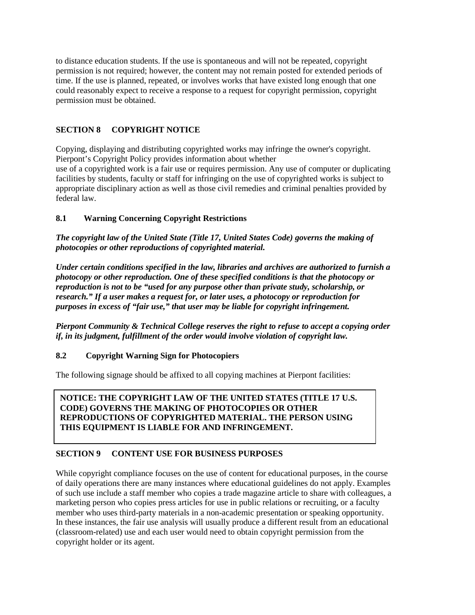to distance education students. If the use is spontaneous and will not be repeated, copyright permission is not required; however, the content may not remain posted for extended periods of time. If the use is planned, repeated, or involves works that have existed long enough that one could reasonably expect to receive a response to a request for copyright permission, copyright permission must be obtained.

# **SECTION 8 COPYRIGHT NOTICE**

Copying, displaying and distributing copyrighted works may infringe the owner's copyright. Pierpont's Copyright Policy provides information about whether

use of a copyrighted work is a fair use or requires permission. Any use of computer or duplicating facilities by students, faculty or staff for infringing on the use of copyrighted works is subject to appropriate disciplinary action as well as those civil remedies and criminal penalties provided by federal law.

## **8.1 Warning Concerning Copyright Restrictions**

*The copyright law of the United State (Title 17, United States Code) governs the making of photocopies or other reproductions of copyrighted material.*

*Under certain conditions specified in the law, libraries and archives are authorized to furnish a photocopy or other reproduction. One of these specified conditions is that the photocopy or reproduction is not to be "used for any purpose other than private study, scholarship, or research." If a user makes a request for, or later uses, a photocopy or reproduction for purposes in excess of "fair use," that user may be liable for copyright infringement.*

*Pierpont Community & Technical College reserves the right to refuse to accept a copying order if, in its judgment, fulfillment of the order would involve violation of copyright law.*

## **8.2 Copyright Warning Sign for Photocopiers**

The following signage should be affixed to all copying machines at Pierpont facilities:

**NOTICE: THE COPYRIGHT LAW OF THE UNITED STATES (TITLE 17 U.S. CODE) GOVERNS THE MAKING OF PHOTOCOPIES OR OTHER REPRODUCTIONS OF COPYRIGHTED MATERIAL. THE PERSON USING THIS EQUIPMENT IS LIABLE FOR AND INFRINGEMENT.**

## **SECTION 9 CONTENT USE FOR BUSINESS PURPOSES**

While copyright compliance focuses on the use of content for educational purposes, in the course of daily operations there are many instances where educational guidelines do not apply. Examples of such use include a staff member who copies a trade magazine article to share with colleagues, a marketing person who copies press articles for use in public relations or recruiting, or a faculty member who uses third-party materials in a non-academic presentation or speaking opportunity. In these instances, the fair use analysis will usually produce a different result from an educational (classroom-related) use and each user would need to obtain copyright permission from the copyright holder or its agent.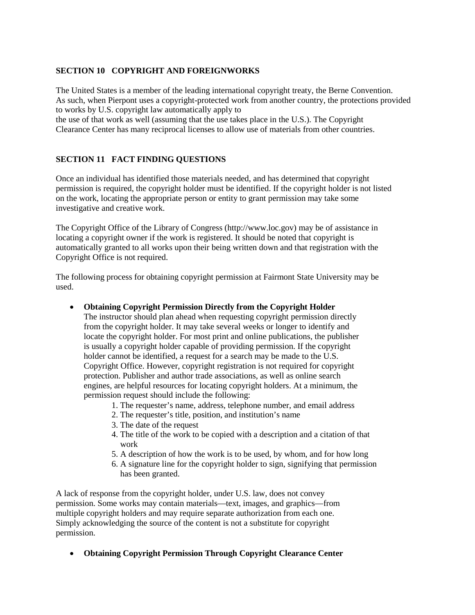# **SECTION 10 COPYRIGHT AND FOREIGNWORKS**

The United States is a member of the leading international copyright treaty, the Berne Convention. As such, when Pierpont uses a copyright-protected work from another country, the protections provided to works by U.S. copyright law automatically apply to

the use of that work as well (assuming that the use takes place in the U.S.). The Copyright Clearance Center has many reciprocal licenses to allow use of materials from other countries.

## **SECTION 11 FACT FINDING QUESTIONS**

Once an individual has identified those materials needed, and has determined that copyright permission is required, the copyright holder must be identified. If the copyright holder is not listed on the work, locating the appropriate person or entity to grant permission may take some investigative and creative work.

The Copyright Office of the Library of Congress (http://www.loc.gov) may be of assistance in locating a copyright owner if the work is registered. It should be noted that copyright is automatically granted to all works upon their being written down and that registration with the Copyright Office is not required.

The following process for obtaining copyright permission at Fairmont State University may be used.

• **Obtaining Copyright Permission Directly from the Copyright Holder**

The instructor should plan ahead when requesting copyright permission directly from the copyright holder. It may take several weeks or longer to identify and locate the copyright holder. For most print and online publications, the publisher is usually a copyright holder capable of providing permission. If the copyright holder cannot be identified, a request for a search may be made to the U.S. Copyright Office. However, copyright registration is not required for copyright protection. Publisher and author trade associations, as well as online search engines, are helpful resources for locating copyright holders. At a minimum, the permission request should include the following:

- 1. The requester's name, address, telephone number, and email address
- 2. The requester's title, position, and institution's name
- 3. The date of the request
- 4. The title of the work to be copied with a description and a citation of that work
- 5. A description of how the work is to be used, by whom, and for how long
- 6. A signature line for the copyright holder to sign, signifying that permission has been granted.

A lack of response from the copyright holder, under U.S. law, does not convey permission. Some works may contain materials—text, images, and graphics—from multiple copyright holders and may require separate authorization from each one. Simply acknowledging the source of the content is not a substitute for copyright permission.

• **Obtaining Copyright Permission Through Copyright Clearance Center**